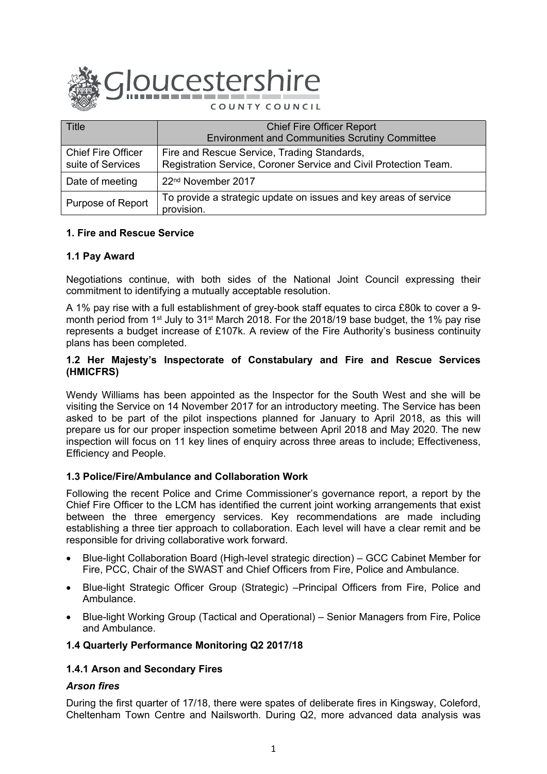

| <b>Title</b>                                   | <b>Chief Fire Officer Report</b><br><b>Environment and Communities Scrutiny Committee</b>                       |
|------------------------------------------------|-----------------------------------------------------------------------------------------------------------------|
| <b>Chief Fire Officer</b><br>suite of Services | Fire and Rescue Service, Trading Standards,<br>Registration Service, Coroner Service and Civil Protection Team. |
| Date of meeting                                | 22 <sup>nd</sup> November 2017                                                                                  |
| Purpose of Report                              | To provide a strategic update on issues and key areas of service<br>provision.                                  |

## **1. Fire and Rescue Service**

## **1.1 Pay Award**

Negotiations continue, with both sides of the National Joint Council expressing their commitment to identifying a mutually acceptable resolution.

A 1% pay rise with a full establishment of grey-book staff equates to circa £80k to cover a 9 month period from 1<sup>st</sup> July to 31<sup>st</sup> March 2018. For the 2018/19 base budget, the 1% pay rise represents a budget increase of £107k. A review of the Fire Authority's business continuity plans has been completed.

### **1.2 Her Majesty's Inspectorate of Constabulary and Fire and Rescue Services (HMICFRS)**

Wendy Williams has been appointed as the Inspector for the South West and she will be visiting the Service on 14 November 2017 for an introductory meeting. The Service has been asked to be part of the pilot inspections planned for January to April 2018, as this will prepare us for our proper inspection sometime between April 2018 and May 2020. The new inspection will focus on 11 key lines of enquiry across three areas to include; Effectiveness, Efficiency and People.

## **1.3 Police/Fire/Ambulance and Collaboration Work**

Following the recent Police and Crime Commissioner's governance report, a report by the Chief Fire Officer to the LCM has identified the current joint working arrangements that exist between the three emergency services. Key recommendations are made including establishing a three tier approach to collaboration. Each level will have a clear remit and be responsible for driving collaborative work forward.

- Blue-light Collaboration Board (High-level strategic direction) GCC Cabinet Member for Fire, PCC, Chair of the SWAST and Chief Officers from Fire, Police and Ambulance.
- Blue-light Strategic Officer Group (Strategic) –Principal Officers from Fire, Police and Ambulance.
- Blue-light Working Group (Tactical and Operational) Senior Managers from Fire, Police and Ambulance.

## **1.4 Quarterly Performance Monitoring Q2 2017/18**

## **1.4.1 Arson and Secondary Fires**

## *Arson fires*

During the first quarter of 17/18, there were spates of deliberate fires in Kingsway, Coleford, Cheltenham Town Centre and Nailsworth. During Q2, more advanced data analysis was